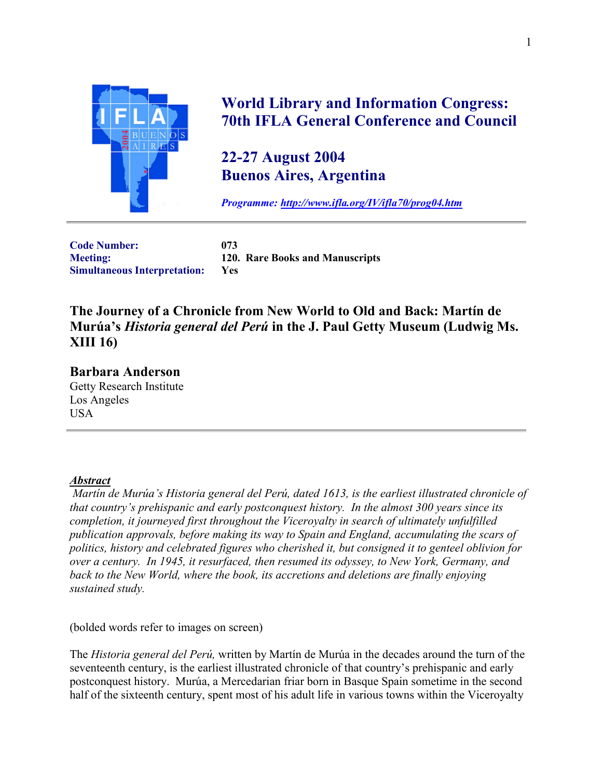

## **World Library and Information Congress: 70th IFLA General Conference and Council**

## **22-27 August 2004 Buenos Aires, Argentina**

*Programme:<http://www.ifla.org/IV/ifla70/prog04.htm>*

**Code Number: 073 Simultaneous Interpretation: Yes**

**Meeting: 120. Rare Books and Manuscripts**

**The Journey of a Chronicle from New World to Old and Back: Martín de Murúa's** *Historia general del Perú* **in the J. Paul Getty Museum (Ludwig Ms. XIII 16)**

**Barbara Anderson** Getty Research Institute Los Angeles USA

## *Abstract*

 *Martín de Murúa's Historia general del Perú, dated 1613, is the earliest illustrated chronicle of that country's prehispanic and early postconquest history. In the almost 300 years since its completion, it journeyed first throughout the Viceroyalty in search of ultimately unfulfilled publication approvals, before making its way to Spain and England, accumulating the scars of politics, history and celebrated figures who cherished it, but consigned it to genteel oblivion for over a century. In 1945, it resurfaced, then resumed its odyssey, to New York, Germany, and back to the New World, where the book, its accretions and deletions are finally enjoying sustained study.*

(bolded words refer to images on screen)

The *Historia general del Perú,* written by Martín de Murúa in the decades around the turn of the seventeenth century, is the earliest illustrated chronicle of that country's prehispanic and early postconquest history. Murúa, a Mercedarian friar born in Basque Spain sometime in the second half of the sixteenth century, spent most of his adult life in various towns within the Viceroyalty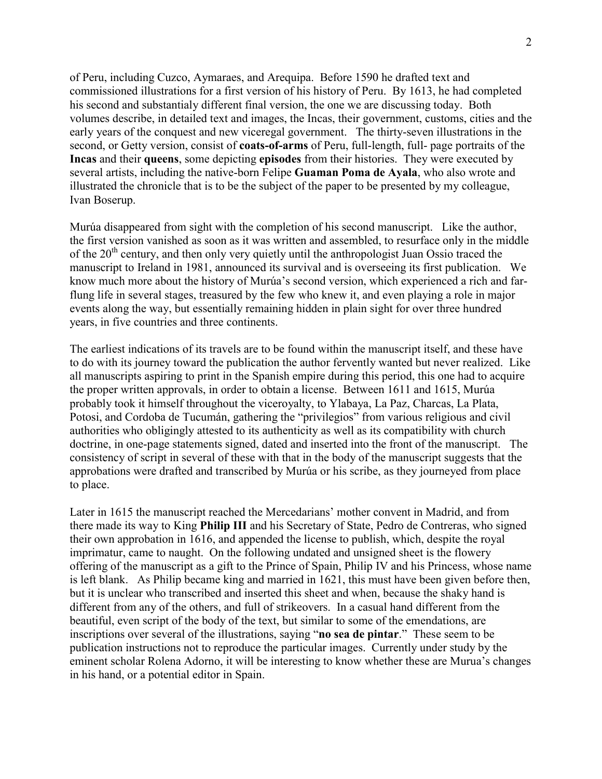of Peru, including Cuzco, Aymaraes, and Arequipa. Before 1590 he drafted text and commissioned illustrations for a first version of his history of Peru. By 1613, he had completed his second and substantialy different final version, the one we are discussing today. Both volumes describe, in detailed text and images, the Incas, their government, customs, cities and the early years of the conquest and new viceregal government. The thirty-seven illustrations in the second, or Getty version, consist of **coats-of-arms** of Peru, full-length, full- page portraits of the **Incas** and their **queens**, some depicting **episodes** from their histories. They were executed by several artists, including the native-born Felipe **Guaman Poma de Ayala**, who also wrote and illustrated the chronicle that is to be the subject of the paper to be presented by my colleague, Ivan Boserup.

Murúa disappeared from sight with the completion of his second manuscript. Like the author, the first version vanished as soon as it was written and assembled, to resurface only in the middle of the  $20<sup>th</sup>$  century, and then only very quietly until the anthropologist Juan Ossio traced the manuscript to Ireland in 1981, announced its survival and is overseeing its first publication. We know much more about the history of Murúa's second version, which experienced a rich and farflung life in several stages, treasured by the few who knew it, and even playing a role in major events along the way, but essentially remaining hidden in plain sight for over three hundred years, in five countries and three continents.

The earliest indications of its travels are to be found within the manuscript itself, and these have to do with its journey toward the publication the author fervently wanted but never realized. Like all manuscripts aspiring to print in the Spanish empire during this period, this one had to acquire the proper written approvals, in order to obtain a license. Between 1611 and 1615, Murúa probably took it himself throughout the viceroyalty, to Ylabaya, La Paz, Charcas, La Plata, Potosi, and Cordoba de Tucumán, gathering the "privilegios" from various religious and civil authorities who obligingly attested to its authenticity as well as its compatibility with church doctrine, in one-page statements signed, dated and inserted into the front of the manuscript. The consistency of script in several of these with that in the body of the manuscript suggests that the approbations were drafted and transcribed by Murúa or his scribe, as they journeyed from place to place.

Later in 1615 the manuscript reached the Mercedarians' mother convent in Madrid, and from there made its way to King **Philip III** and his Secretary of State, Pedro de Contreras, who signed their own approbation in 1616, and appended the license to publish, which, despite the royal imprimatur, came to naught. On the following undated and unsigned sheet is the flowery offering of the manuscript as a gift to the Prince of Spain, Philip IV and his Princess, whose name is left blank. As Philip became king and married in 1621, this must have been given before then, but it is unclear who transcribed and inserted this sheet and when, because the shaky hand is different from any of the others, and full of strikeovers. In a casual hand different from the beautiful, even script of the body of the text, but similar to some of the emendations, are inscriptions over several of the illustrations, saying "**no sea de pintar**." These seem to be publication instructions not to reproduce the particular images. Currently under study by the eminent scholar Rolena Adorno, it will be interesting to know whether these are Murua's changes in his hand, or a potential editor in Spain.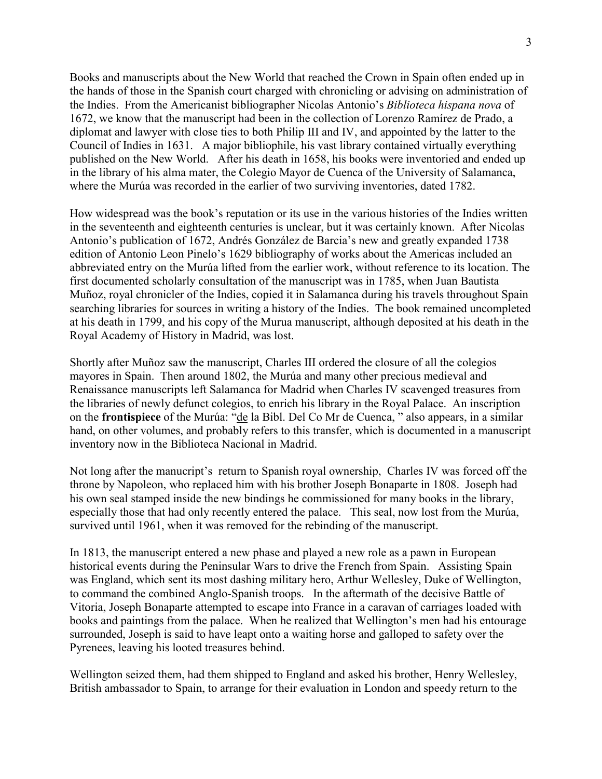Books and manuscripts about the New World that reached the Crown in Spain often ended up in the hands of those in the Spanish court charged with chronicling or advising on administration of the Indies. From the Americanist bibliographer Nicolas Antonio's *Biblioteca hispana nova* of 1672, we know that the manuscript had been in the collection of Lorenzo Ramírez de Prado, a diplomat and lawyer with close ties to both Philip III and IV, and appointed by the latter to the Council of Indies in 1631. A major bibliophile, his vast library contained virtually everything published on the New World. After his death in 1658, his books were inventoried and ended up in the library of his alma mater, the Colegio Mayor de Cuenca of the University of Salamanca, where the Murúa was recorded in the earlier of two surviving inventories, dated 1782.

How widespread was the book's reputation or its use in the various histories of the Indies written in the seventeenth and eighteenth centuries is unclear, but it was certainly known. After Nicolas Antonio's publication of 1672, Andrés González de Barcia's new and greatly expanded 1738 edition of Antonio Leon Pinelo's 1629 bibliography of works about the Americas included an abbreviated entry on the Murúa lifted from the earlier work, without reference to its location. The first documented scholarly consultation of the manuscript was in 1785, when Juan Bautista Muñoz, royal chronicler of the Indies, copied it in Salamanca during his travels throughout Spain searching libraries for sources in writing a history of the Indies. The book remained uncompleted at his death in 1799, and his copy of the Murua manuscript, although deposited at his death in the Royal Academy of History in Madrid, was lost.

Shortly after Muñoz saw the manuscript, Charles III ordered the closure of all the colegios mayores in Spain. Then around 1802, the Murúa and many other precious medieval and Renaissance manuscripts left Salamanca for Madrid when Charles IV scavenged treasures from the libraries of newly defunct colegios, to enrich his library in the Royal Palace. An inscription on the **frontispiece** of the Murúa: "de la Bibl. Del Co Mr de Cuenca, " also appears, in a similar hand, on other volumes, and probably refers to this transfer, which is documented in a manuscript inventory now in the Biblioteca Nacional in Madrid.

Not long after the manucript's return to Spanish royal ownership, Charles IV was forced off the throne by Napoleon, who replaced him with his brother Joseph Bonaparte in 1808. Joseph had his own seal stamped inside the new bindings he commissioned for many books in the library, especially those that had only recently entered the palace. This seal, now lost from the Murúa, survived until 1961, when it was removed for the rebinding of the manuscript.

In 1813, the manuscript entered a new phase and played a new role as a pawn in European historical events during the Peninsular Wars to drive the French from Spain. Assisting Spain was England, which sent its most dashing military hero, Arthur Wellesley, Duke of Wellington, to command the combined Anglo-Spanish troops. In the aftermath of the decisive Battle of Vitoria, Joseph Bonaparte attempted to escape into France in a caravan of carriages loaded with books and paintings from the palace. When he realized that Wellington's men had his entourage surrounded, Joseph is said to have leapt onto a waiting horse and galloped to safety over the Pyrenees, leaving his looted treasures behind.

Wellington seized them, had them shipped to England and asked his brother, Henry Wellesley, British ambassador to Spain, to arrange for their evaluation in London and speedy return to the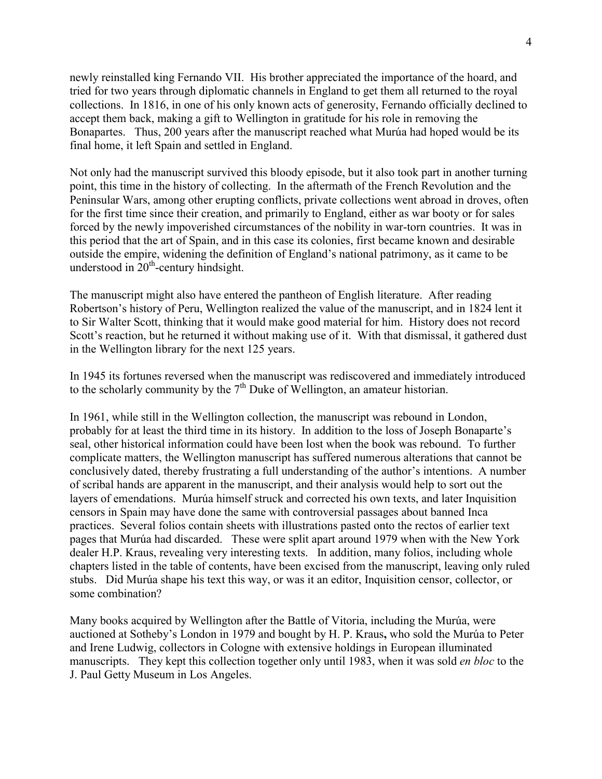newly reinstalled king Fernando VII. His brother appreciated the importance of the hoard, and tried for two years through diplomatic channels in England to get them all returned to the royal collections. In 1816, in one of his only known acts of generosity, Fernando officially declined to accept them back, making a gift to Wellington in gratitude for his role in removing the Bonapartes. Thus, 200 years after the manuscript reached what Murúa had hoped would be its final home, it left Spain and settled in England.

Not only had the manuscript survived this bloody episode, but it also took part in another turning point, this time in the history of collecting. In the aftermath of the French Revolution and the Peninsular Wars, among other erupting conflicts, private collections went abroad in droves, often for the first time since their creation, and primarily to England, either as war booty or for sales forced by the newly impoverished circumstances of the nobility in war-torn countries. It was in this period that the art of Spain, and in this case its colonies, first became known and desirable outside the empire, widening the definition of England's national patrimony, as it came to be understood in  $20<sup>th</sup>$ -century hindsight.

The manuscript might also have entered the pantheon of English literature. After reading Robertson's history of Peru, Wellington realized the value of the manuscript, and in 1824 lent it to Sir Walter Scott, thinking that it would make good material for him. History does not record Scott's reaction, but he returned it without making use of it. With that dismissal, it gathered dust in the Wellington library for the next 125 years.

In 1945 its fortunes reversed when the manuscript was rediscovered and immediately introduced to the scholarly community by the  $7<sup>th</sup>$  Duke of Wellington, an amateur historian.

In 1961, while still in the Wellington collection, the manuscript was rebound in London, probably for at least the third time in its history. In addition to the loss of Joseph Bonaparte's seal, other historical information could have been lost when the book was rebound. To further complicate matters, the Wellington manuscript has suffered numerous alterations that cannot be conclusively dated, thereby frustrating a full understanding of the author's intentions. A number of scribal hands are apparent in the manuscript, and their analysis would help to sort out the layers of emendations. Murúa himself struck and corrected his own texts, and later Inquisition censors in Spain may have done the same with controversial passages about banned Inca practices. Several folios contain sheets with illustrations pasted onto the rectos of earlier text pages that Murúa had discarded. These were split apart around 1979 when with the New York dealer H.P. Kraus, revealing very interesting texts. In addition, many folios, including whole chapters listed in the table of contents, have been excised from the manuscript, leaving only ruled stubs. Did Murúa shape his text this way, or was it an editor, Inquisition censor, collector, or some combination?

Many books acquired by Wellington after the Battle of Vitoria, including the Murúa, were auctioned at Sotheby's London in 1979 and bought by H. P. Kraus**,** who sold the Murúa to Peter and Irene Ludwig, collectors in Cologne with extensive holdings in European illuminated manuscripts. They kept this collection together only until 1983, when it was sold *en bloc* to the J. Paul Getty Museum in Los Angeles.